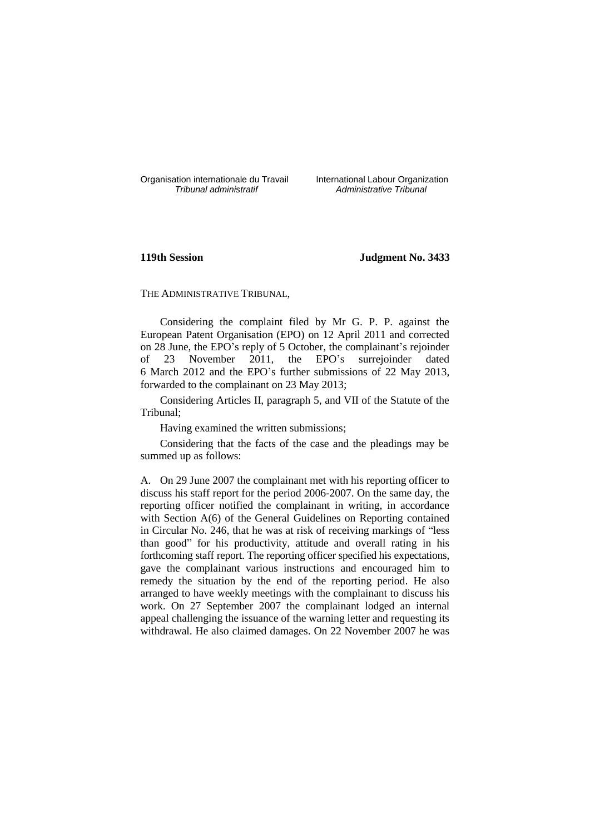Organisation internationale du Travail International Labour Organization<br>*Tribunal administratif Administrative Tribunal* 

*Tribunal administratif Administrative Tribunal*

# **119th Session Judgment No. 3433**

THE ADMINISTRATIVE TRIBUNAL,

Considering the complaint filed by Mr G. P. P. against the European Patent Organisation (EPO) on 12 April 2011 and corrected on 28 June, the EPO's reply of 5 October, the complainant's rejoinder of 23 November 2011, the EPO's surrejoinder dated 6 March 2012 and the EPO's further submissions of 22 May 2013, forwarded to the complainant on 23 May 2013;

Considering Articles II, paragraph 5, and VII of the Statute of the Tribunal;

Having examined the written submissions;

Considering that the facts of the case and the pleadings may be summed up as follows:

A. On 29 June 2007 the complainant met with his reporting officer to discuss his staff report for the period 2006-2007. On the same day, the reporting officer notified the complainant in writing, in accordance with Section A(6) of the General Guidelines on Reporting contained in Circular No. 246, that he was at risk of receiving markings of "less than good" for his productivity, attitude and overall rating in his forthcoming staff report. The reporting officer specified his expectations, gave the complainant various instructions and encouraged him to remedy the situation by the end of the reporting period. He also arranged to have weekly meetings with the complainant to discuss his work. On 27 September 2007 the complainant lodged an internal appeal challenging the issuance of the warning letter and requesting its withdrawal. He also claimed damages. On 22 November 2007 he was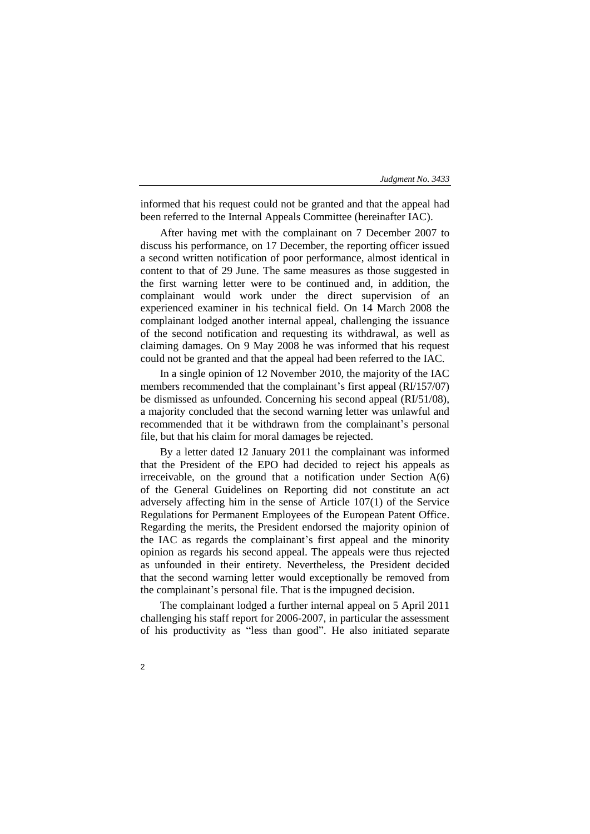informed that his request could not be granted and that the appeal had been referred to the Internal Appeals Committee (hereinafter IAC).

After having met with the complainant on 7 December 2007 to discuss his performance, on 17 December, the reporting officer issued a second written notification of poor performance, almost identical in content to that of 29 June. The same measures as those suggested in the first warning letter were to be continued and, in addition, the complainant would work under the direct supervision of an experienced examiner in his technical field. On 14 March 2008 the complainant lodged another internal appeal, challenging the issuance of the second notification and requesting its withdrawal, as well as claiming damages. On 9 May 2008 he was informed that his request could not be granted and that the appeal had been referred to the IAC.

In a single opinion of 12 November 2010, the majority of the IAC members recommended that the complainant's first appeal (RI/157/07) be dismissed as unfounded. Concerning his second appeal (RI/51/08), a majority concluded that the second warning letter was unlawful and recommended that it be withdrawn from the complainant's personal file, but that his claim for moral damages be rejected.

By a letter dated 12 January 2011 the complainant was informed that the President of the EPO had decided to reject his appeals as irreceivable, on the ground that a notification under Section  $A(6)$ of the General Guidelines on Reporting did not constitute an act adversely affecting him in the sense of Article 107(1) of the Service Regulations for Permanent Employees of the European Patent Office. Regarding the merits, the President endorsed the majority opinion of the IAC as regards the complainant's first appeal and the minority opinion as regards his second appeal. The appeals were thus rejected as unfounded in their entirety. Nevertheless, the President decided that the second warning letter would exceptionally be removed from the complainant's personal file. That is the impugned decision.

The complainant lodged a further internal appeal on 5 April 2011 challenging his staff report for 2006-2007, in particular the assessment of his productivity as "less than good". He also initiated separate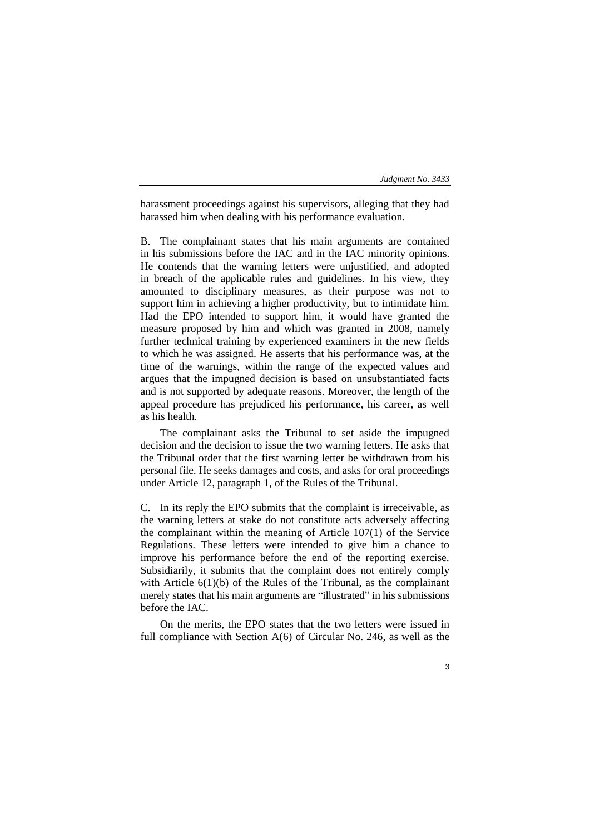harassment proceedings against his supervisors, alleging that they had harassed him when dealing with his performance evaluation.

B. The complainant states that his main arguments are contained in his submissions before the IAC and in the IAC minority opinions. He contends that the warning letters were unjustified, and adopted in breach of the applicable rules and guidelines. In his view, they amounted to disciplinary measures, as their purpose was not to support him in achieving a higher productivity, but to intimidate him. Had the EPO intended to support him, it would have granted the measure proposed by him and which was granted in 2008, namely further technical training by experienced examiners in the new fields to which he was assigned. He asserts that his performance was, at the time of the warnings, within the range of the expected values and argues that the impugned decision is based on unsubstantiated facts and is not supported by adequate reasons. Moreover, the length of the appeal procedure has prejudiced his performance, his career, as well as his health.

The complainant asks the Tribunal to set aside the impugned decision and the decision to issue the two warning letters. He asks that the Tribunal order that the first warning letter be withdrawn from his personal file. He seeks damages and costs, and asks for oral proceedings under Article 12, paragraph 1, of the Rules of the Tribunal.

C. In its reply the EPO submits that the complaint is irreceivable, as the warning letters at stake do not constitute acts adversely affecting the complainant within the meaning of Article 107(1) of the Service Regulations. These letters were intended to give him a chance to improve his performance before the end of the reporting exercise. Subsidiarily, it submits that the complaint does not entirely comply with Article  $6(1)(b)$  of the Rules of the Tribunal, as the complainant merely states that his main arguments are "illustrated" in his submissions before the IAC.

On the merits, the EPO states that the two letters were issued in full compliance with Section A(6) of Circular No. 246, as well as the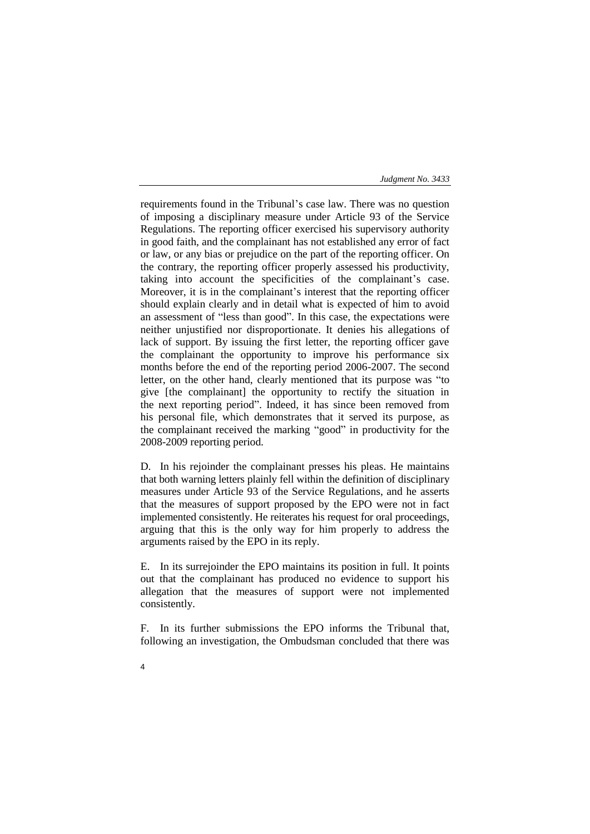requirements found in the Tribunal's case law. There was no question of imposing a disciplinary measure under Article 93 of the Service Regulations. The reporting officer exercised his supervisory authority in good faith, and the complainant has not established any error of fact or law, or any bias or prejudice on the part of the reporting officer. On the contrary, the reporting officer properly assessed his productivity, taking into account the specificities of the complainant's case. Moreover, it is in the complainant's interest that the reporting officer should explain clearly and in detail what is expected of him to avoid an assessment of "less than good". In this case, the expectations were neither unjustified nor disproportionate. It denies his allegations of lack of support. By issuing the first letter, the reporting officer gave the complainant the opportunity to improve his performance six months before the end of the reporting period 2006-2007. The second letter, on the other hand, clearly mentioned that its purpose was "to give [the complainant] the opportunity to rectify the situation in the next reporting period". Indeed, it has since been removed from his personal file, which demonstrates that it served its purpose, as the complainant received the marking "good" in productivity for the 2008-2009 reporting period.

D. In his rejoinder the complainant presses his pleas. He maintains that both warning letters plainly fell within the definition of disciplinary measures under Article 93 of the Service Regulations, and he asserts that the measures of support proposed by the EPO were not in fact implemented consistently. He reiterates his request for oral proceedings, arguing that this is the only way for him properly to address the arguments raised by the EPO in its reply.

E. In its surrejoinder the EPO maintains its position in full. It points out that the complainant has produced no evidence to support his allegation that the measures of support were not implemented consistently.

F. In its further submissions the EPO informs the Tribunal that, following an investigation, the Ombudsman concluded that there was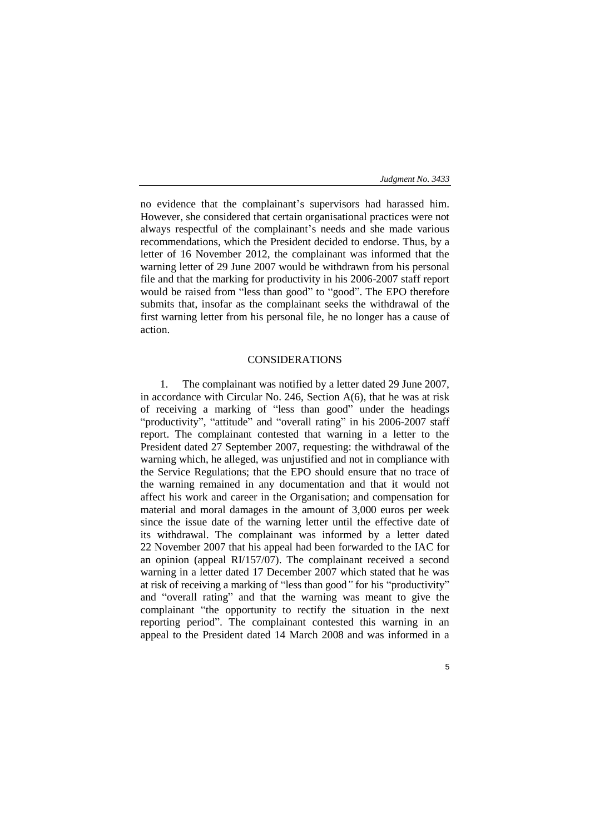no evidence that the complainant's supervisors had harassed him. However, she considered that certain organisational practices were not always respectful of the complainant's needs and she made various recommendations, which the President decided to endorse. Thus, by a letter of 16 November 2012, the complainant was informed that the warning letter of 29 June 2007 would be withdrawn from his personal file and that the marking for productivity in his 2006-2007 staff report would be raised from "less than good" to "good". The EPO therefore submits that, insofar as the complainant seeks the withdrawal of the first warning letter from his personal file, he no longer has a cause of action.

# CONSIDERATIONS

1. The complainant was notified by a letter dated 29 June 2007, in accordance with Circular No. 246, Section A(6), that he was at risk of receiving a marking of "less than good" under the headings "productivity", "attitude" and "overall rating" in his 2006-2007 staff report. The complainant contested that warning in a letter to the President dated 27 September 2007, requesting: the withdrawal of the warning which, he alleged, was unjustified and not in compliance with the Service Regulations; that the EPO should ensure that no trace of the warning remained in any documentation and that it would not affect his work and career in the Organisation; and compensation for material and moral damages in the amount of 3,000 euros per week since the issue date of the warning letter until the effective date of its withdrawal. The complainant was informed by a letter dated 22 November 2007 that his appeal had been forwarded to the IAC for an opinion (appeal RI/157/07). The complainant received a second warning in a letter dated 17 December 2007 which stated that he was at risk of receiving a marking of "less than good*"* for his "productivity" and "overall rating" and that the warning was meant to give the complainant "the opportunity to rectify the situation in the next reporting period". The complainant contested this warning in an appeal to the President dated 14 March 2008 and was informed in a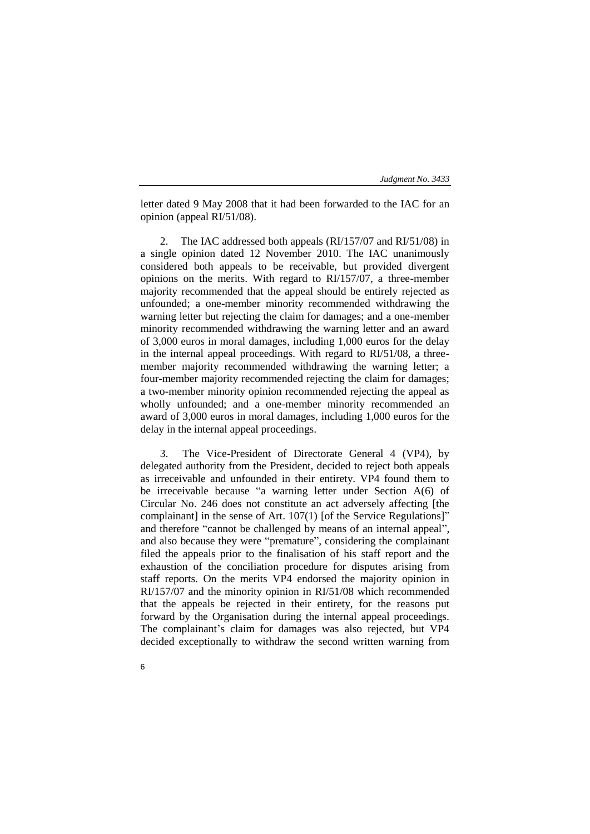letter dated 9 May 2008 that it had been forwarded to the IAC for an opinion (appeal RI/51/08).

2. The IAC addressed both appeals (RI/157/07 and RI/51/08) in a single opinion dated 12 November 2010. The IAC unanimously considered both appeals to be receivable, but provided divergent opinions on the merits. With regard to RI/157/07, a three-member majority recommended that the appeal should be entirely rejected as unfounded; a one-member minority recommended withdrawing the warning letter but rejecting the claim for damages; and a one-member minority recommended withdrawing the warning letter and an award of 3,000 euros in moral damages, including 1,000 euros for the delay in the internal appeal proceedings. With regard to RI/51/08, a threemember majority recommended withdrawing the warning letter; a four-member majority recommended rejecting the claim for damages; a two-member minority opinion recommended rejecting the appeal as wholly unfounded; and a one-member minority recommended an award of 3,000 euros in moral damages, including 1,000 euros for the delay in the internal appeal proceedings.

3. The Vice-President of Directorate General 4 (VP4), by delegated authority from the President, decided to reject both appeals as irreceivable and unfounded in their entirety. VP4 found them to be irreceivable because "a warning letter under Section A(6) of Circular No. 246 does not constitute an act adversely affecting [the complainant] in the sense of Art. 107(1) [of the Service Regulations]" and therefore "cannot be challenged by means of an internal appeal", and also because they were "premature", considering the complainant filed the appeals prior to the finalisation of his staff report and the exhaustion of the conciliation procedure for disputes arising from staff reports. On the merits VP4 endorsed the majority opinion in RI/157/07 and the minority opinion in RI/51/08 which recommended that the appeals be rejected in their entirety, for the reasons put forward by the Organisation during the internal appeal proceedings. The complainant's claim for damages was also rejected, but VP4 decided exceptionally to withdraw the second written warning from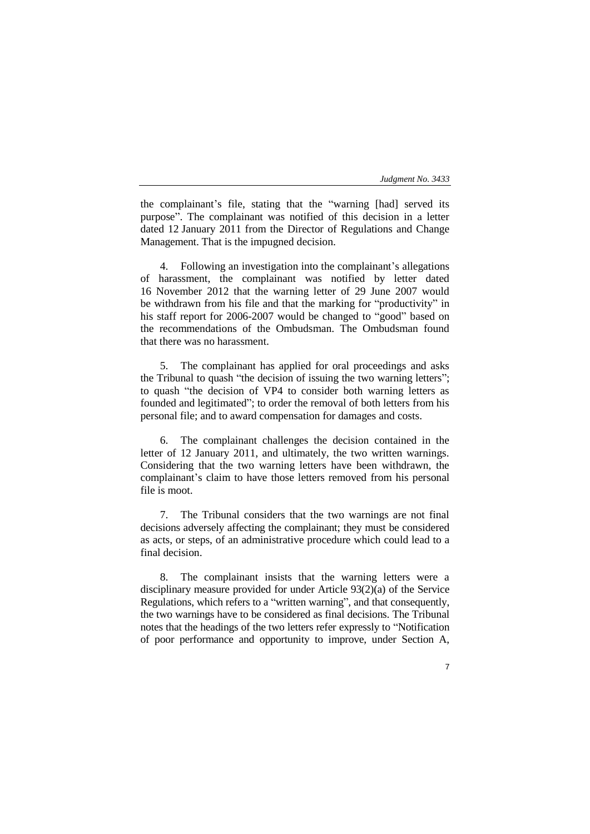the complainant's file, stating that the "warning [had] served its purpose". The complainant was notified of this decision in a letter dated 12 January 2011 from the Director of Regulations and Change Management. That is the impugned decision.

4. Following an investigation into the complainant's allegations of harassment, the complainant was notified by letter dated 16 November 2012 that the warning letter of 29 June 2007 would be withdrawn from his file and that the marking for "productivity" in his staff report for 2006-2007 would be changed to "good" based on the recommendations of the Ombudsman. The Ombudsman found that there was no harassment.

5. The complainant has applied for oral proceedings and asks the Tribunal to quash "the decision of issuing the two warning letters"; to quash "the decision of VP4 to consider both warning letters as founded and legitimated"; to order the removal of both letters from his personal file; and to award compensation for damages and costs.

6. The complainant challenges the decision contained in the letter of 12 January 2011, and ultimately, the two written warnings. Considering that the two warning letters have been withdrawn, the complainant's claim to have those letters removed from his personal file is moot.

7. The Tribunal considers that the two warnings are not final decisions adversely affecting the complainant; they must be considered as acts, or steps, of an administrative procedure which could lead to a final decision.

8. The complainant insists that the warning letters were a disciplinary measure provided for under Article 93(2)(a) of the Service Regulations, which refers to a "written warning", and that consequently, the two warnings have to be considered as final decisions. The Tribunal notes that the headings of the two letters refer expressly to "Notification of poor performance and opportunity to improve, under Section A,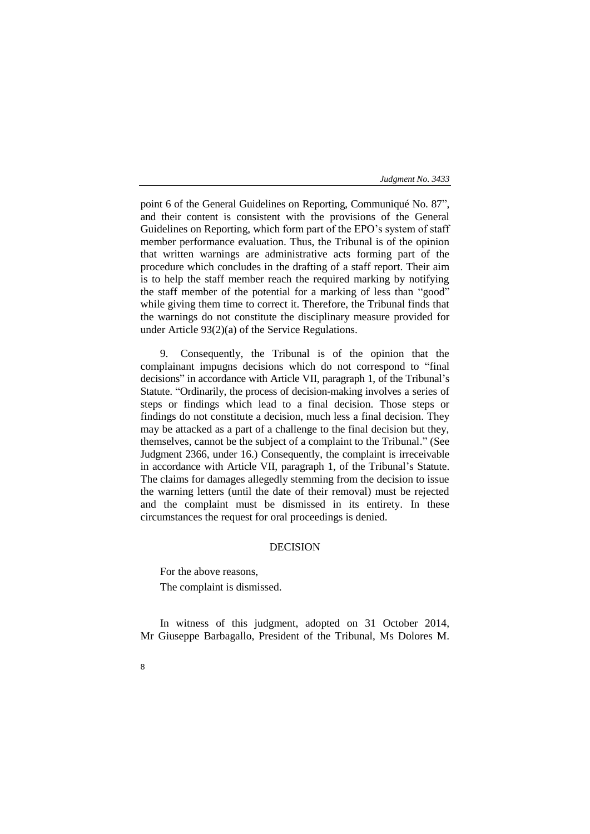point 6 of the General Guidelines on Reporting, Communiqué No. 87", and their content is consistent with the provisions of the General Guidelines on Reporting, which form part of the EPO's system of staff member performance evaluation. Thus, the Tribunal is of the opinion that written warnings are administrative acts forming part of the procedure which concludes in the drafting of a staff report. Their aim is to help the staff member reach the required marking by notifying the staff member of the potential for a marking of less than "good" while giving them time to correct it. Therefore, the Tribunal finds that the warnings do not constitute the disciplinary measure provided for under Article 93(2)(a) of the Service Regulations.

9. Consequently, the Tribunal is of the opinion that the complainant impugns decisions which do not correspond to "final decisions" in accordance with Article VII, paragraph 1, of the Tribunal's Statute. "Ordinarily, the process of decision-making involves a series of steps or findings which lead to a final decision. Those steps or findings do not constitute a decision, much less a final decision. They may be attacked as a part of a challenge to the final decision but they, themselves, cannot be the subject of a complaint to the Tribunal." (See Judgment 2366, under 16.) Consequently, the complaint is irreceivable in accordance with Article VII, paragraph 1, of the Tribunal's Statute. The claims for damages allegedly stemming from the decision to issue the warning letters (until the date of their removal) must be rejected and the complaint must be dismissed in its entirety. In these circumstances the request for oral proceedings is denied.

# DECISION

For the above reasons,

The complaint is dismissed.

In witness of this judgment, adopted on 31 October 2014, Mr Giuseppe Barbagallo, President of the Tribunal, Ms Dolores M.